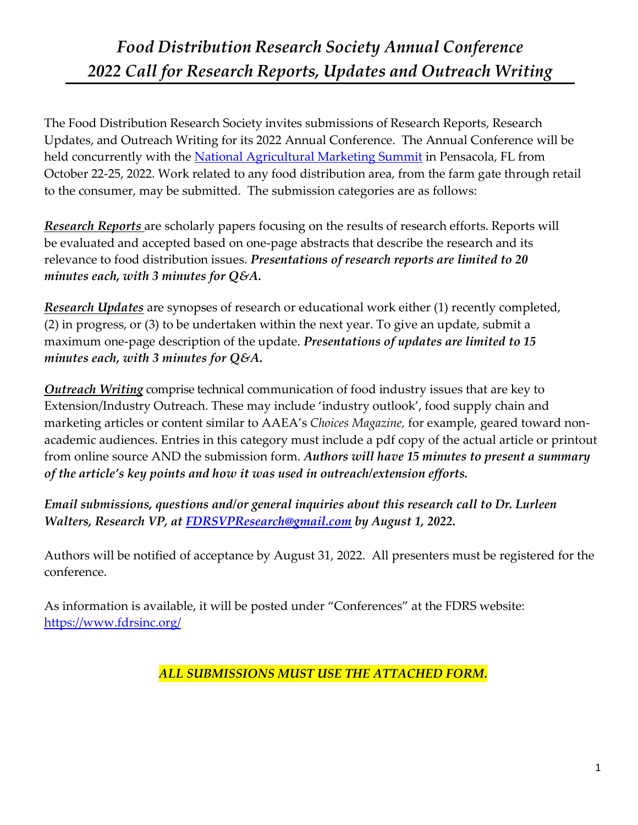## *Food Distribution Research Society Annual Conference 2022 Call for Research Reports, Updates and Outreach Writing*

The Food Distribution Research Society invites submissions of Research Reports, Research Updates, and Outreach Writing for its 2022 Annual Conference. The Annual Conference will be held concurrently with the National Agricultural Marketing Summit in Pensacola, FL from October 22-25, 2022. Work related to any food distribution area, from the farm gate through retail to the consumer, may be submitted. The submission categories are as follows:

*Research Reports* are scholarly papers focusing on the results of research efforts. Reports will be evaluated and accepted based on one-page abstracts that describe the research and its relevance to food distribution issues. *Presentations of research reports are limited to 20 minutes each, with 3 minutes for Q&A.*

*Research Updates* are synopses of research or educational work either (1) recently completed, (2) in progress, or (3) to be undertaken within the next year. To give an update, submit a maximum one-page description of the update. *Presentations of updates are limited to 15 minutes each, with 3 minutes for Q&A.*

*Outreach Writing* comprise technical communication of food industry issues that are key to Extension/Industry Outreach. These may include 'industry outlook', food supply chain and marketing articles or content similar to AAEA's *Choices Magazine,* for example, geared toward nonacademic audiences. Entries in this category must include a pdf copy of the actual article or printout from online source AND the submission form. *Authors will have 15 minutes to present a summary of the article's key points and how it was used in outreach/extension efforts.*

*Email submissions, questions and/or general inquiries about this research call to Dr. Lurleen Walters, Research VP, at FDRSVPResearch@gmail.com by August 1, 2022.* 

Authors will be notified of acceptance by August 31, 2022. All presenters must be registered for the conference.

As information is available, it will be posted under "Conferences" at the FDRS website: https://www.fdrsinc.org/

*ALL SUBMISSIONS MUST USE THE ATTACHED FORM.*